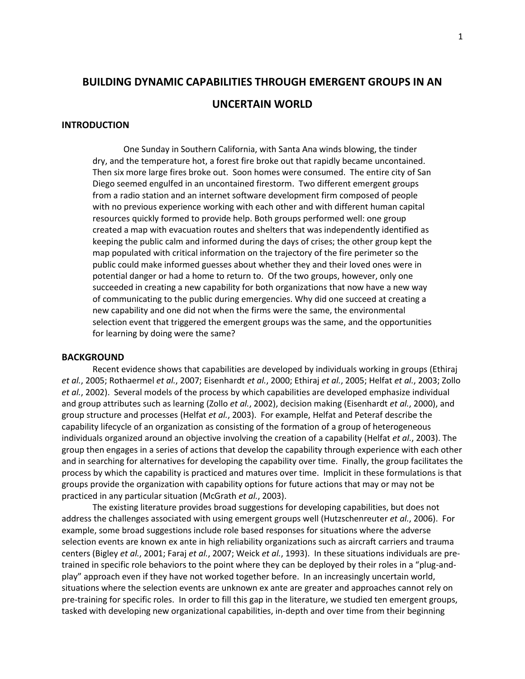# **BUILDING DYNAMIC CAPABILITIES THROUGH EMERGENT GROUPS IN AN UNCERTAIN WORLD**

# **INTRODUCTION**

One Sunday in Southern California, with Santa Ana winds blowing, the tinder dry, and the temperature hot, a forest fire broke out that rapidly became uncontained. Then six more large fires broke out. Soon homes were consumed. The entire city of San Diego seemed engulfed in an uncontained firestorm. Two different emergent groups from a radio station and an internet software development firm composed of people with no previous experience working with each other and with different human capital resources quickly formed to provide help. Both groups performed well: one group created a map with evacuation routes and shelters that was independently identified as keeping the public calm and informed during the days of crises; the other group kept the map populated with critical information on the trajectory of the fire perimeter so the public could make informed guesses about whether they and their loved ones were in potential danger or had a home to return to. Of the two groups, however, only one succeeded in creating a new capability for both organizations that now have a new way of communicating to the public during emergencies. Why did one succeed at creating a new capability and one did not when the firms were the same, the environmental selection event that triggered the emergent groups was the same, and the opportunities for learning by doing were the same?

## **BACKGROUND**

Recent evidence shows that capabilities are developed by individuals working in groups (Ethiraj *et al.*, 2005; Rothaermel *et al.*, 2007; Eisenhardt *et al.*, 2000; Ethiraj *et al.*, 2005; Helfat *et al.*, 2003; Zollo *et al.*, 2002). Several models of the process by which capabilities are developed emphasize individual and group attributes such as learning (Zollo *et al.*, 2002), decision making (Eisenhardt *et al.*, 2000), and group structure and processes (Helfat *et al.*, 2003). For example, Helfat and Peteraf describe the capability lifecycle of an organization as consisting of the formation of a group of heterogeneous individuals organized around an objective involving the creation of a capability (Helfat *et al.*, 2003). The group then engages in a series of actions that develop the capability through experience with each other and in searching for alternatives for developing the capability over time. Finally, the group facilitates the process by which the capability is practiced and matures over time. Implicit in these formulations is that groups provide the organization with capability options for future actions that may or may not be practiced in any particular situation (McGrath *et al.*, 2003).

The existing literature provides broad suggestions for developing capabilities, but does not address the challenges associated with using emergent groups well (Hutzschenreuter *et al.*, 2006). For example, some broad suggestions include role based responses for situations where the adverse selection events are known ex ante in high reliability organizations such as aircraft carriers and trauma centers (Bigley *et al.*, 2001; Faraj *et al.*, 2007; Weick *et al.*, 1993). In these situations individuals are pretrained in specific role behaviors to the point where they can be deployed by their roles in a "plug-andplay" approach even if they have not worked together before. In an increasingly uncertain world, situations where the selection events are unknown ex ante are greater and approaches cannot rely on pre-training for specific roles. In order to fill this gap in the literature, we studied ten emergent groups, tasked with developing new organizational capabilities, in-depth and over time from their beginning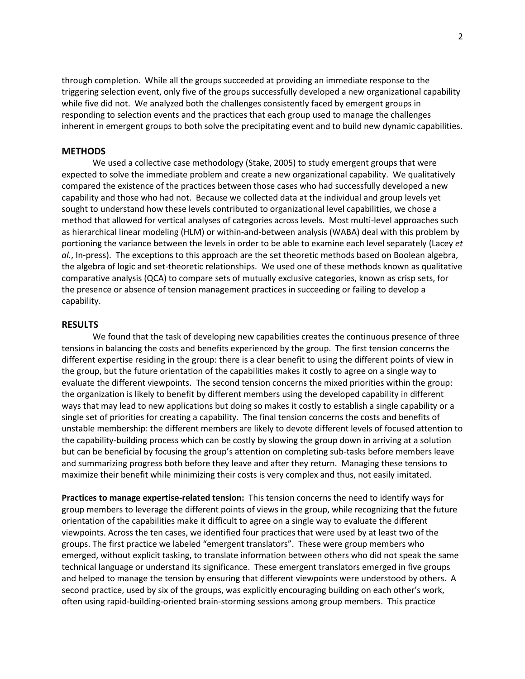through completion. While all the groups succeeded at providing an immediate response to the triggering selection event, only five of the groups successfully developed a new organizational capability while five did not. We analyzed both the challenges consistently faced by emergent groups in responding to selection events and the practices that each group used to manage the challenges inherent in emergent groups to both solve the precipitating event and to build new dynamic capabilities.

## **METHODS**

We used a collective case methodology (Stake, 2005) to study emergent groups that were expected to solve the immediate problem and create a new organizational capability. We qualitatively compared the existence of the practices between those cases who had successfully developed a new capability and those who had not. Because we collected data at the individual and group levels yet sought to understand how these levels contributed to organizational level capabilities, we chose a method that allowed for vertical analyses of categories across levels. Most multi-level approaches such as hierarchical linear modeling (HLM) or within-and-between analysis (WABA) deal with this problem by portioning the variance between the levels in order to be able to examine each level separately (Lacey *et al.*, In-press). The exceptions to this approach are the set theoretic methods based on Boolean algebra, the algebra of logic and set-theoretic relationships. We used one of these methods known as qualitative comparative analysis (QCA) to compare sets of mutually exclusive categories, known as crisp sets, for the presence or absence of tension management practices in succeeding or failing to develop a capability.

# **RESULTS**

We found that the task of developing new capabilities creates the continuous presence of three tensions in balancing the costs and benefits experienced by the group. The first tension concerns the different expertise residing in the group: there is a clear benefit to using the different points of view in the group, but the future orientation of the capabilities makes it costly to agree on a single way to evaluate the different viewpoints. The second tension concerns the mixed priorities within the group: the organization is likely to benefit by different members using the developed capability in different ways that may lead to new applications but doing so makes it costly to establish a single capability or a single set of priorities for creating a capability. The final tension concerns the costs and benefits of unstable membership: the different members are likely to devote different levels of focused attention to the capability-building process which can be costly by slowing the group down in arriving at a solution but can be beneficial by focusing the group's attention on completing sub-tasks before members leave and summarizing progress both before they leave and after they return. Managing these tensions to maximize their benefit while minimizing their costs is very complex and thus, not easily imitated.

**Practices to manage expertise-related tension:** This tension concerns the need to identify ways for group members to leverage the different points of views in the group, while recognizing that the future orientation of the capabilities make it difficult to agree on a single way to evaluate the different viewpoints. Across the ten cases, we identified four practices that were used by at least two of the groups. The first practice we labeled "emergent translators". These were group members who emerged, without explicit tasking, to translate information between others who did not speak the same technical language or understand its significance. These emergent translators emerged in five groups and helped to manage the tension by ensuring that different viewpoints were understood by others. A second practice, used by six of the groups, was explicitly encouraging building on each other's work, often using rapid-building-oriented brain-storming sessions among group members. This practice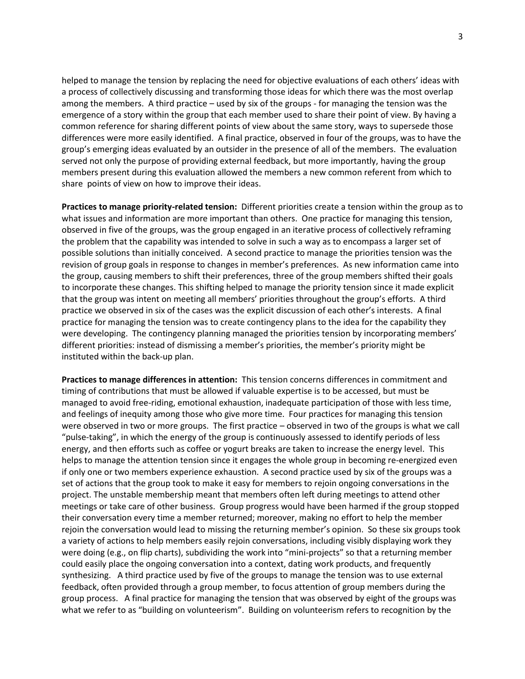helped to manage the tension by replacing the need for objective evaluations of each others' ideas with a process of collectively discussing and transforming those ideas for which there was the most overlap among the members. A third practice – used by six of the groups - for managing the tension was the emergence of a story within the group that each member used to share their point of view. By having a common reference for sharing different points of view about the same story, ways to supersede those differences were more easily identified. A final practice, observed in four of the groups, was to have the group's emerging ideas evaluated by an outsider in the presence of all of the members. The evaluation served not only the purpose of providing external feedback, but more importantly, having the group members present during this evaluation allowed the members a new common referent from which to share points of view on how to improve their ideas.

**Practices to manage priority-related tension:** Different priorities create a tension within the group as to what issues and information are more important than others. One practice for managing this tension, observed in five of the groups, was the group engaged in an iterative process of collectively reframing the problem that the capability was intended to solve in such a way as to encompass a larger set of possible solutions than initially conceived. A second practice to manage the priorities tension was the revision of group goals in response to changes in member's preferences. As new information came into the group, causing members to shift their preferences, three of the group members shifted their goals to incorporate these changes. This shifting helped to manage the priority tension since it made explicit that the group was intent on meeting all members' priorities throughout the group's efforts. A third practice we observed in six of the cases was the explicit discussion of each other's interests. A final practice for managing the tension was to create contingency plans to the idea for the capability they were developing. The contingency planning managed the priorities tension by incorporating members' different priorities: instead of dismissing a member's priorities, the member's priority might be instituted within the back-up plan.

**Practices to manage differences in attention:** This tension concerns differences in commitment and timing of contributions that must be allowed if valuable expertise is to be accessed, but must be managed to avoid free-riding, emotional exhaustion, inadequate participation of those with less time, and feelings of inequity among those who give more time. Four practices for managing this tension were observed in two or more groups. The first practice – observed in two of the groups is what we call "pulse-taking", in which the energy of the group is continuously assessed to identify periods of less energy, and then efforts such as coffee or yogurt breaks are taken to increase the energy level. This helps to manage the attention tension since it engages the whole group in becoming re-energized even if only one or two members experience exhaustion. A second practice used by six of the groups was a set of actions that the group took to make it easy for members to rejoin ongoing conversations in the project. The unstable membership meant that members often left during meetings to attend other meetings or take care of other business. Group progress would have been harmed if the group stopped their conversation every time a member returned; moreover, making no effort to help the member rejoin the conversation would lead to missing the returning member's opinion. So these six groups took a variety of actions to help members easily rejoin conversations, including visibly displaying work they were doing (e.g., on flip charts), subdividing the work into "mini-projects" so that a returning member could easily place the ongoing conversation into a context, dating work products, and frequently synthesizing. A third practice used by five of the groups to manage the tension was to use external feedback, often provided through a group member, to focus attention of group members during the group process. A final practice for managing the tension that was observed by eight of the groups was what we refer to as "building on volunteerism". Building on volunteerism refers to recognition by the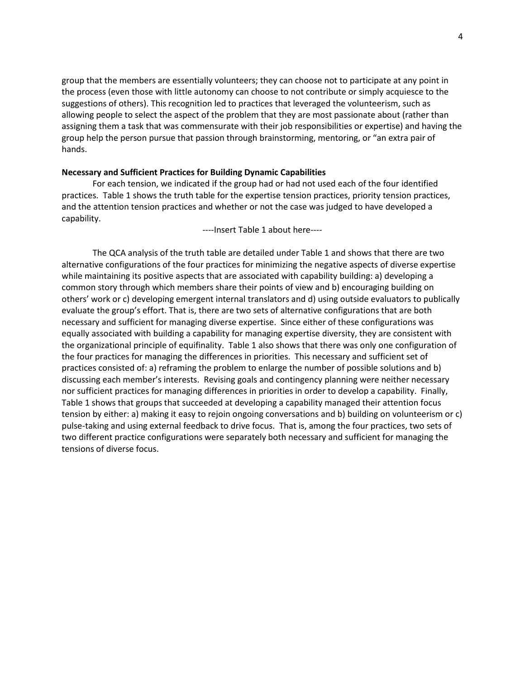group that the members are essentially volunteers; they can choose not to participate at any point in the process (even those with little autonomy can choose to not contribute or simply acquiesce to the suggestions of others). This recognition led to practices that leveraged the volunteerism, such as allowing people to select the aspect of the problem that they are most passionate about (rather than assigning them a task that was commensurate with their job responsibilities or expertise) and having the group help the person pursue that passion through brainstorming, mentoring, or "an extra pair of hands.

# **Necessary and Sufficient Practices for Building Dynamic Capabilities**

For each tension, we indicated if the group had or had not used each of the four identified practices. Table 1 shows the truth table for the expertise tension practices, priority tension practices, and the attention tension practices and whether or not the case was judged to have developed a capability.

----Insert Table 1 about here----

The QCA analysis of the truth table are detailed under Table 1 and shows that there are two alternative configurations of the four practices for minimizing the negative aspects of diverse expertise while maintaining its positive aspects that are associated with capability building: a) developing a common story through which members share their points of view and b) encouraging building on others' work or c) developing emergent internal translators and d) using outside evaluators to publically evaluate the group's effort. That is, there are two sets of alternative configurations that are both necessary and sufficient for managing diverse expertise. Since either of these configurations was equally associated with building a capability for managing expertise diversity, they are consistent with the organizational principle of equifinality. Table 1 also shows that there was only one configuration of the four practices for managing the differences in priorities. This necessary and sufficient set of practices consisted of: a) reframing the problem to enlarge the number of possible solutions and b) discussing each member's interests. Revising goals and contingency planning were neither necessary nor sufficient practices for managing differences in priorities in order to develop a capability. Finally, Table 1 shows that groups that succeeded at developing a capability managed their attention focus tension by either: a) making it easy to rejoin ongoing conversations and b) building on volunteerism or c) pulse-taking and using external feedback to drive focus. That is, among the four practices, two sets of two different practice configurations were separately both necessary and sufficient for managing the tensions of diverse focus.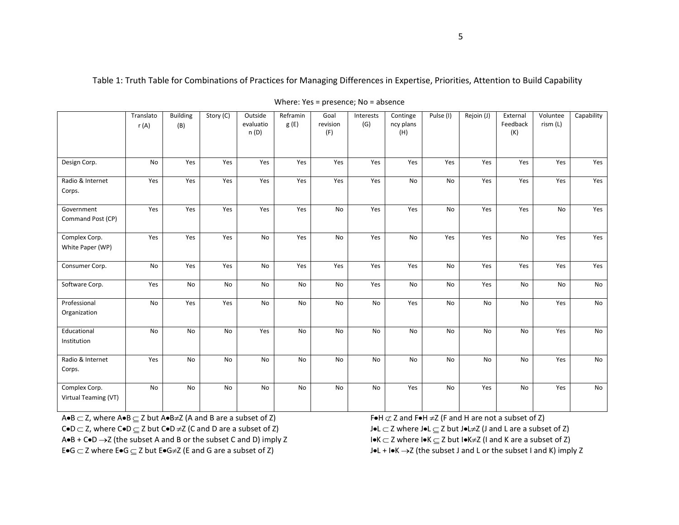Table 1: Truth Table for Combinations of Practices for Managing Differences in Expertise, Priorities, Attention to Build Capability

|                                       | Translato<br>r(A) | <b>Building</b><br>(B) | Story (C) | Outside<br>evaluatio<br>n(D) | Reframin<br>g(E) | Goal<br>revision<br>(F) | Interests<br>(G) | Continge<br>ncy plans<br>(H) | Pulse (I) | Rejoin (J) | External<br>Feedback<br>(K) | Voluntee<br>rism (L) | Capability |
|---------------------------------------|-------------------|------------------------|-----------|------------------------------|------------------|-------------------------|------------------|------------------------------|-----------|------------|-----------------------------|----------------------|------------|
| Design Corp.                          | No                | Yes                    | Yes       | Yes                          | Yes              | Yes                     | Yes              | Yes                          | Yes       | Yes        | Yes                         | Yes                  | Yes        |
| Radio & Internet<br>Corps.            | Yes               | Yes                    | Yes       | Yes                          | Yes              | Yes                     | Yes              | No                           | <b>No</b> | Yes        | Yes                         | Yes                  | Yes        |
| Government<br>Command Post (CP)       | Yes               | Yes                    | Yes       | Yes                          | Yes              | No                      | Yes              | Yes                          | No        | Yes        | Yes                         | No                   | Yes        |
| Complex Corp.<br>White Paper (WP)     | Yes               | Yes                    | Yes       | No                           | Yes              | No                      | Yes              | No                           | Yes       | Yes        | No                          | Yes                  | Yes        |
| Consumer Corp.                        | <b>No</b>         | Yes                    | Yes       | No                           | Yes              | Yes                     | Yes              | Yes                          | No        | Yes        | Yes                         | Yes                  | Yes        |
| Software Corp.                        | Yes               | No                     | No        | No                           | No               | No                      | Yes              | No                           | No        | Yes        | No                          | No                   | No         |
| Professional<br>Organization          | No                | Yes                    | Yes       | No                           | No               | No                      | No               | Yes                          | No        | No         | No                          | Yes                  | No         |
| Educational<br>Institution            | No                | No                     | No        | Yes                          | No               | No                      | No               | No                           | No        | No         | No                          | Yes                  | No         |
| Radio & Internet<br>Corps.            | Yes               | No                     | <b>No</b> | No                           | <b>No</b>        | No                      | <b>No</b>        | No                           | <b>No</b> | No         | <b>No</b>                   | Yes                  | No         |
| Complex Corp.<br>Virtual Teaming (VT) | <b>No</b>         | No                     | No        | No                           | No               | No                      | No               | Yes                          | <b>No</b> | Yes        | No                          | Yes                  | No         |

Where: Yes = presence; No = absence

 $A \bullet B \subset Z$ , where  $A \bullet B \subseteq Z$  but  $A \bullet B \neq Z$  (A and B are a subset of Z) F  $\bullet H \not\subset Z$  and  $F \bullet H \neq Z$  (F and H are not a subset of Z)  $CoD \subset Z$ , where  $CoD \subseteq Z$  but  $CoD \neq Z$  (C and D are a subset of Z)  $J \bullet L \subset Z$  where  $J \bullet L \subset Z$  but  $J \bullet L \neq Z$  (J and L are a subset of Z)  $A \bullet B + C \bullet D \rightarrow Z$  (the subset A and B or the subset C and D) imply Z  $A \bullet B + C \subset Z$  where  $I \bullet K \subset Z$  but  $I \bullet K \neq Z$  (I and K are a subset of Z)

E•G  $\subset$  Z where E•G  $\subseteq$  Z but E•G≠Z (E and G are a subset of Z)  $\Box$  J•L + I•K  $\rightarrow$ Z (the subset J and L or the subset I and K) imply Z